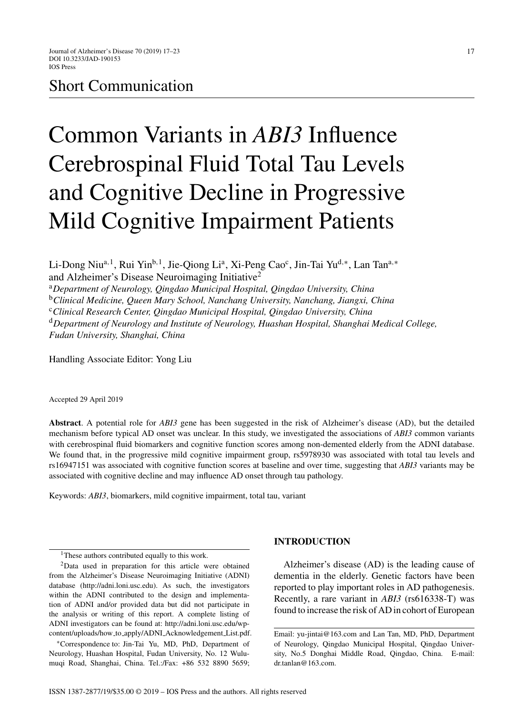# Short Communication

# Common Variants in *ABI3* Influence Cerebrospinal Fluid Total Tau Levels and Cognitive Decline in Progressive Mild Cognitive Impairment Patients

Li-Dong Niu<sup>a, 1</sup>, Rui Yin<sup>b, 1</sup>, Jie-Qiong Li<sup>a</sup>, Xi-Peng Cao<sup>c</sup>, Jin-Tai Yu<sup>d,∗</sup>, Lan Tan<sup>a,∗</sup> and Alzheimer's Disease Neuroimaging Initiative2

<sup>a</sup>*Department of Neurology, Qingdao Municipal Hospital, Qingdao University, China* <sup>b</sup>*Clinical Medicine, Queen Mary School, Nanchang University, Nanchang, Jiangxi, China* <sup>c</sup>*Clinical Research Center, Qingdao Municipal Hospital, Qingdao University, China* <sup>d</sup>*Department of Neurology and Institute of Neurology, Huashan Hospital, Shanghai Medical College, Fudan University, Shanghai, China*

Handling Associate Editor: Yong Liu

Accepted 29 April 2019

**Abstract**. A potential role for *ABI3* gene has been suggested in the risk of Alzheimer's disease (AD), but the detailed mechanism before typical AD onset was unclear. In this study, we investigated the associations of *ABI3* common variants with cerebrospinal fluid biomarkers and cognitive function scores among non-demented elderly from the ADNI database. We found that, in the progressive mild cognitive impairment group, rs5978930 was associated with total tau levels and rs16947151 was associated with cognitive function scores at baseline and over time, suggesting that *ABI3* variants may be associated with cognitive decline and may influence AD onset through tau pathology.

Keywords: *ABI3*, biomarkers, mild cognitive impairment, total tau, variant

∗Correspondence to: Jin-Tai Yu, MD, PhD, Department of Neurology, Huashan Hospital, Fudan University, No. 12 Wulumuqi Road, Shanghai, China. Tel.:/Fax: +86 532 8890 5659;

#### **INTRODUCTION**

Alzheimer's disease (AD) is the leading cause of dementia in the elderly. Genetic factors have been reported to play important roles in AD pathogenesis. Recently, a rare variant in *ABI3* (rs616338-T) was found to increase the risk of AD in cohort of European

<sup>&</sup>lt;sup>1</sup>These authors contributed equally to this work.

<sup>2</sup>Data used in preparation for this article were obtained from the Alzheimer's Disease Neuroimaging Initiative (ADNI) database [\(http://adni.loni.usc.edu](http://adni.loni.usc.edu)). As such, the investigators within the ADNI contributed to the design and implementation of ADNI and/or provided data but did not participate in the analysis or writing of this report. A complete listing of ADNI investigators can be found at: [http://adni.loni.usc.edu/wp](http://adni.loni.usc.edu/wp-content/uploads/how_to_apply/ADNI_Acknowledgement_List.pdf)content/uploads/how to apply/ADNI Acknowledgement List.pdf.

Email: [yu-jintai@163.com](mailto:yu-jintai@163.com) and Lan Tan, MD, PhD, Department of Neurology, Qingdao Municipal Hospital, Qingdao University, No.5 Donghai Middle Road, Qingdao, China. E-mail: [dr.tanlan@163.com.](mailto:dr.tanlan@163.com)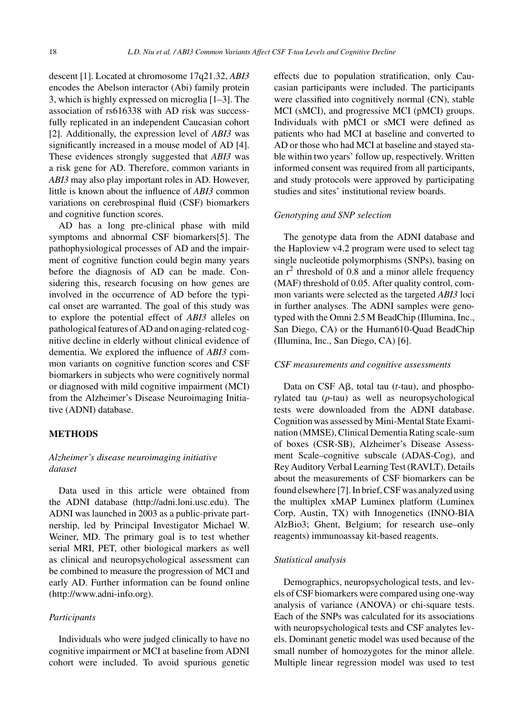descent [1]. Located at chromosome 17q21.32, *ABI3* encodes the Abelson interactor (Abi) family protein 3, which is highly expressed on microglia [1–3]. The association of rs616338 with AD risk was successfully replicated in an independent Caucasian cohort [2]. Additionally, the expression level of *ABI3* was significantly increased in a mouse model of AD [4]. These evidences strongly suggested that *ABI3* was a risk gene for AD. Therefore, common variants in *ABI3* may also play important roles in AD. However, little is known about the influence of *ABI3* common variations on cerebrospinal fluid (CSF) biomarkers and cognitive function scores.

AD has a long pre-clinical phase with mild symptoms and abnormal CSF biomarkers[5]. The pathophysiological processes of AD and the impairment of cognitive function could begin many years before the diagnosis of AD can be made. Considering this, research focusing on how genes are involved in the occurrence of AD before the typical onset are warranted. The goal of this study was to explore the potential effect of *ABI3* alleles on pathological features of AD and on aging-related cognitive decline in elderly without clinical evidence of dementia. We explored the influence of *ABI3* common variants on cognitive function scores and CSF biomarkers in subjects who were cognitively normal or diagnosed with mild cognitive impairment (MCI) from the Alzheimer's Disease Neuroimaging Initiative (ADNI) database.

### **METHODS**

## *Alzheimer's disease neuroimaging initiative dataset*

Data used in this article were obtained from the ADNI database [\(http://adni.loni.usc.edu\)](http://adni.loni.usc.edu). The ADNI was launched in 2003 as a public-private partnership, led by Principal Investigator Michael W. Weiner, MD. The primary goal is to test whether serial MRI, PET, other biological markers as well as clinical and neuropsychological assessment can be combined to measure the progression of MCI and early AD. Further information can be found online [\(http://www.adni-info.org\)](http://www.adni-info.org).

#### *Participants*

Individuals who were judged clinically to have no cognitive impairment or MCI at baseline from ADNI cohort were included. To avoid spurious genetic effects due to population stratification, only Caucasian participants were included. The participants were classified into cognitively normal (CN), stable MCI (sMCI), and progressive MCI (pMCI) groups. Individuals with pMCI or sMCI were defined as patients who had MCI at baseline and converted to AD or those who had MCI at baseline and stayed stable within two years' follow up, respectively. Written informed consent was required from all participants, and study protocols were approved by participating studies and sites' institutional review boards.

#### *Genotyping and SNP selection*

The genotype data from the ADNI database and the Haploview v4.2 program were used to select tag single nucleotide polymorphisms (SNPs), basing on an  $r^2$  threshold of 0.8 and a minor allele frequency (MAF) threshold of 0.05. After quality control, common variants were selected as the targeted *ABI3* loci in further analyses. The ADNI samples were genotyped with the Omni 2.5 M BeadChip (Illumina, Inc., San Diego, CA) or the Human610-Quad BeadChip (Illumina, Inc., San Diego, CA) [6].

#### *CSF measurements and cognitive assessments*

Data on CSF  $\mathsf{A}\mathsf{B}$ , total tau (*t*-tau), and phosphorylated tau (*p*-tau) as well as neuropsychological tests were downloaded from the ADNI database. Cognition was assessed by Mini-Mental State Examination (MMSE), Clinical Dementia Rating scale-sum of boxes (CSR-SB), Alzheimer's Disease Assessment Scale–cognitive subscale (ADAS-Cog), and Rey Auditory Verbal Learning Test (RAVLT). Details about the measurements of CSF biomarkers can be found elsewhere [7]. In brief, CSF was analyzed using the multiplex xMAP Luminex platform (Luminex Corp, Austin, TX) with Innogenetics (INNO-BIA AlzBio3; Ghent, Belgium; for research use–only reagents) immunoassay kit-based reagents.

#### *Statistical analysis*

Demographics, neuropsychological tests, and levels of CSF biomarkers were compared using one-way analysis of variance (ANOVA) or chi-square tests. Each of the SNPs was calculated for its associations with neuropsychological tests and CSF analytes levels. Dominant genetic model was used because of the small number of homozygotes for the minor allele. Multiple linear regression model was used to test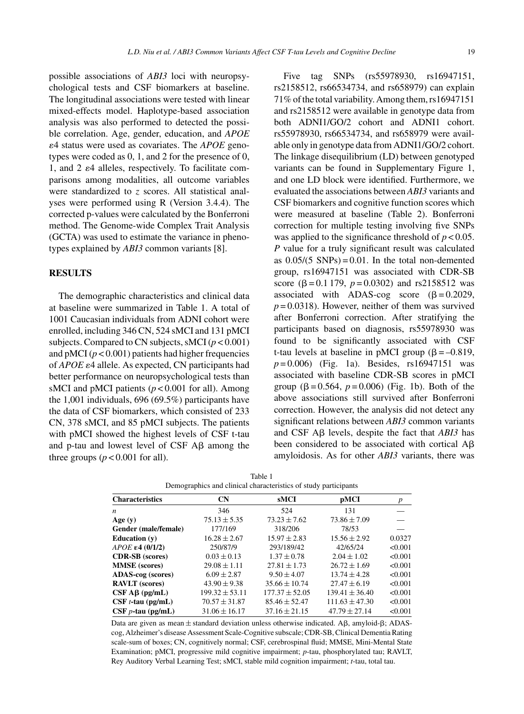possible associations of *ABI3* loci with neuropsychological tests and CSF biomarkers at baseline. The longitudinal associations were tested with linear mixed-effects model. Haplotype-based association analysis was also performed to detected the possible correlation. Age, gender, education, and *APOE* 4 status were used as covariates. The *APOE* genotypes were coded as 0, 1, and 2 for the presence of 0, 1, and 2  $\varepsilon$ 4 alleles, respectively. To facilitate comparisons among modalities, all outcome variables were standardized to *z* scores. All statistical analyses were performed using R (Version 3.4.4). The corrected p-values were calculated by the Bonferroni method. The Genome-wide Complex Trait Analysis (GCTA) was used to estimate the variance in phenotypes explained by *ABI3* common variants [8].

#### **RESULTS**

The demographic characteristics and clinical data at baseline were summarized in Table 1. A total of 1001 Caucasian individuals from ADNI cohort were enrolled, including 346 CN, 524 sMCI and 131 pMCI subjects. Compared to CN subjects, sMCI (*p* < 0.001) and  $pMCI (p < 0.001)$  patients had higher frequencies of  $APOE \epsilon$ <sup>4</sup> allele. As expected, CN participants had better performance on neuropsychological tests than sMCI and pMCI patients ( $p < 0.001$  for all). Among the 1,001 individuals, 696 (69.5%) participants have the data of CSF biomarkers, which consisted of 233 CN, 378 sMCI, and 85 pMCI subjects. The patients with pMCI showed the highest levels of CSF t-tau and p-tau and lowest level of  $CSF$  A $\beta$  among the three groups  $(p < 0.001$  for all).

Five tag SNPs (rs55978930, rs16947151, rs2158512, rs66534734, and rs658979) can explain 71% of the total variability. Among them, rs16947151 and rs2158512 were available in genotype data from both ADNI1/GO/2 cohort and ADNI1 cohort. rs55978930, rs66534734, and rs658979 were available only in genotype data from ADNI1/GO/2 cohort. The linkage disequilibrium (LD) between genotyped variants can be found in Supplementary Figure 1, and one LD block were identified. Furthermore, we evaluated the associations between *ABI3* variants and CSF biomarkers and cognitive function scores which were measured at baseline (Table 2). Bonferroni correction for multiple testing involving five SNPs was applied to the significance threshold of  $p < 0.05$ . *P* value for a truly significant result was calculated as  $0.05/(5 \text{ SNPs}) = 0.01$ . In the total non-demented group, rs16947151 was associated with CDR-SB score ( $\beta$  = 0.1 179,  $p$  = 0.0302) and rs2158512 was associated with ADAS-cog score  $(\beta = 0.2029,$  $p = 0.0318$ ). However, neither of them was survived after Bonferroni correction. After stratifying the participants based on diagnosis, rs55978930 was found to be significantly associated with CSF t-tau levels at baseline in pMCI group ( $\beta = -0.819$ , *p* = 0.006) (Fig. 1a). Besides, rs16947151 was associated with baseline CDR-SB scores in pMCI group ( $\beta = 0.564$ ,  $p = 0.006$ ) (Fig. 1b). Both of the above associations still survived after Bonferroni correction. However, the analysis did not detect any significant relations between *ABI3* common variants and CSF  $\overrightarrow{AB}$  levels, despite the fact that  $\overrightarrow{ABI3}$  has been considered to be associated with cortical  $A\beta$ amyloidosis. As for other *ABI3* variants, there was

| <b>Characteristics</b>      | <b>CN</b>          | sMCI               | pMCI               | p       |  |
|-----------------------------|--------------------|--------------------|--------------------|---------|--|
| n                           | 346                | 524                | 131                |         |  |
| Age $(y)$                   | $75.13 \pm 5.35$   | $73.23 \pm 7.62$   | $73.86 \pm 7.09$   |         |  |
| Gender (male/female)        | 177/169            | 318/206            | 78/53              |         |  |
| Education $(v)$             | $16.28 \pm 2.67$   | $15.97 \pm 2.83$   | $15.56 \pm 2.92$   | 0.0327  |  |
| $APOE \epsilon 4$ (0/1/2)   | 250/87/9           | 293/189/42         | 42/65/24           | < 0.001 |  |
| <b>CDR-SB</b> (scores)      | $0.03 \pm 0.13$    | $1.37 \pm 0.78$    | $2.04 \pm 1.02$    | < 0.001 |  |
| <b>MMSE</b> (scores)        | $29.08 \pm 1.11$   | $27.81 \pm 1.73$   | $26.72 \pm 1.69$   | < 0.001 |  |
| ADAS-cog (scores)           | $6.09 \pm 2.87$    | $9.50 \pm 4.07$    | $13.74 \pm 4.28$   | < 0.001 |  |
| <b>RAVLT</b> (scores)       | $43.90 \pm 9.38$   | $35.66 \pm 10.74$  | $27.47 \pm 6.19$   | < 0.001 |  |
| $CSF A\beta$ (pg/mL)        | $199.32 \pm 53.11$ | $177.37 \pm 52.05$ | $139.41 \pm 36.40$ | < 0.001 |  |
| $CSF t$ -tau (pg/mL)        | $70.57 \pm 31.87$  | $85.46 \pm 52.47$  | $111.63 \pm 47.30$ | < 0.001 |  |
| $CSF$ <i>p</i> -tau (pg/mL) | $31.06 \pm 16.17$  | $37.16 \pm 21.15$  | $47.79 \pm 27.14$  | < 0.001 |  |

| Table 1                                                         |
|-----------------------------------------------------------------|
| Demographics and clinical characteristics of study participants |

Data are given as mean  $\pm$  standard deviation unless otherwise indicated. A $\beta$ , amyloid- $\beta$ ; ADAScog, Alzheimer's disease Assessment Scale-Cognitive subscale; CDR-SB, Clinical Dementia Rating scale-sum of boxes; CN, cognitively normal; CSF, cerebrospinal fluid; MMSE, Mini-Mental State Examination; pMCI, progressive mild cognitive impairment; *p*-tau, phosphorylated tau; RAVLT, Rey Auditory Verbal Learning Test; sMCI, stable mild cognition impairment; *t*-tau, total tau.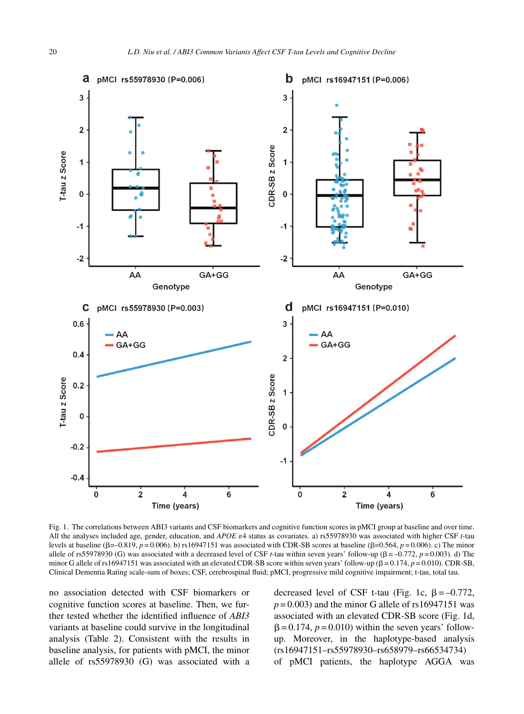

Fig. 1. The correlations between ABI3 variants and CSF biomarkers and cognitive function scores in pMCI group at baseline and over time. All the analyses included age, gender, education, and *APOE*  $\varepsilon$ 4 status as covariates. a) rs55978930 was associated with higher CSF *t*-tau levels at baseline ( $\beta$ =–0.819, *p* = 0.006). b) rs16947151 was associated with CDR-SB scores at baseline ( $\beta$ =0.564, *p* = 0.006). c) The minor allele of rs55978930 (G) was associated with a decreased level of CSF *t*-tau within seven years' follow-up ( $\beta = -0.772$ ,  $p = 0.003$ ). d) The minor G allele of rs16947151 was associated with an elevated CDR-SB score within seven years' follow-up ( $\beta = 0.174$ ,  $p = 0.010$ ). CDR-SB, Clinical Dementia Rating scale-sum of boxes; CSF, cerebrospinal fluid; pMCI, progressive mild cognitive impairment; t-tau, total tau.

no association detected with CSF biomarkers or cognitive function scores at baseline. Then, we further tested whether the identified influence of *ABI3* variants at baseline could survive in the longitudinal analysis (Table 2). Consistent with the results in baseline analysis, for patients with pMCI, the minor allele of rs55978930 (G) was associated with a

decreased level of CSF t-tau (Fig. 1c,  $\beta = -0.772$ ,  $p = 0.003$ ) and the minor G allele of rs16947151 was associated with an elevated CDR-SB score (Fig. 1d,  $\beta = 0.174$ ,  $p = 0.010$ ) within the seven years' followup. Moreover, in the haplotype-based analysis (rs16947151–rs55978930–rs658979–rs66534734) of pMCI patients, the haplotype AGGA was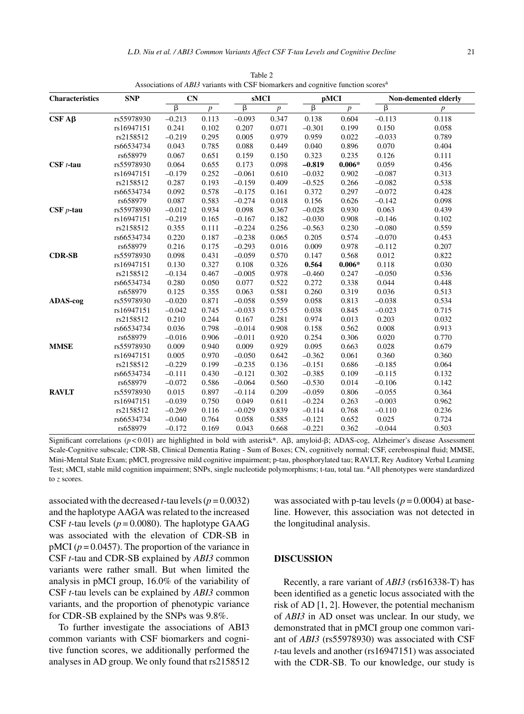| <b>Characteristics</b> | <b>SNP</b> | CN                 |                  | sMCI               |                |                    | pMCI           |                    | Non-demented elderly |  |
|------------------------|------------|--------------------|------------------|--------------------|----------------|--------------------|----------------|--------------------|----------------------|--|
|                        |            | $\overline{\beta}$ | $\boldsymbol{p}$ | $\overline{\beta}$ | $\overline{p}$ | $\overline{\beta}$ | $\overline{p}$ | $\overline{\beta}$ | $\boldsymbol{p}$     |  |
| $CSF A\beta$           | rs55978930 | $-0.213$           | 0.113            | $-0.093$           | 0.347          | 0.138              | 0.604          | $-0.113$           | 0.118                |  |
|                        | rs16947151 | 0.241              | 0.102            | 0.207              | 0.071          | $-0.301$           | 0.199          | 0.150              | 0.058                |  |
|                        | rs2158512  | $-0.219$           | 0.295            | 0.005              | 0.979          | 0.959              | 0.022          | $-0.033$           | 0.789                |  |
|                        | rs66534734 | 0.043              | 0.785            | 0.088              | 0.449          | 0.040              | 0.896          | 0.070              | 0.404                |  |
|                        | rs658979   | 0.067              | 0.651            | 0.159              | 0.150          | 0.323              | 0.235          | 0.126              | 0.111                |  |
| $CSF t-tau$            | rs55978930 | 0.064              | 0.655            | 0.173              | 0.098          | $-0.819$           | $0.006*$       | 0.059              | 0.456                |  |
|                        | rs16947151 | $-0.179$           | 0.252            | $-0.061$           | 0.610          | $-0.032$           | 0.902          | $-0.087$           | 0.313                |  |
|                        | rs2158512  | 0.287              | 0.193            | $-0.159$           | 0.409          | $-0.525$           | 0.266          | $-0.082$           | 0.538                |  |
|                        | rs66534734 | 0.092              | 0.578            | $-0.175$           | 0.161          | 0.372              | 0.297          | $-0.072$           | 0.428                |  |
|                        | rs658979   | 0.087              | 0.583            | $-0.274$           | 0.018          | 0.156              | 0.626          | $-0.142$           | 0.098                |  |
| $CSF$ p-tau            | rs55978930 | $-0.012$           | 0.934            | 0.098              | 0.367          | $-0.028$           | 0.930          | 0.063              | 0.439                |  |
|                        | rs16947151 | $-0.219$           | 0.165            | $-0.167$           | 0.182          | $-0.030$           | 0.908          | $-0.146$           | 0.102                |  |
|                        | rs2158512  | 0.355              | 0.111            | $-0.224$           | 0.256          | $-0.563$           | 0.230          | $-0.080$           | 0.559                |  |
|                        | rs66534734 | 0.220              | 0.187            | $-0.238$           | 0.065          | 0.205              | 0.574          | $-0.070$           | 0.453                |  |
|                        | rs658979   | 0.216              | 0.175            | $-0.293$           | 0.016          | 0.009              | 0.978          | $-0.112$           | 0.207                |  |
| <b>CDR-SB</b>          | rs55978930 | 0.098              | 0.431            | $-0.059$           | 0.570          | 0.147              | 0.568          | 0.012              | 0.822                |  |
|                        | rs16947151 | 0.130              | 0.327            | 0.108              | 0.326          | 0.564              | $0.006*$       | 0.118              | 0.030                |  |
|                        | rs2158512  | $-0.134$           | 0.467            | $-0.005$           | 0.978          | $-0.460$           | 0.247          | $-0.050$           | 0.536                |  |
|                        | rs66534734 | 0.280              | 0.050            | 0.077              | 0.522          | 0.272              | 0.338          | 0.044              | 0.448                |  |
|                        | rs658979   | 0.125              | 0.355            | 0.063              | 0.581          | 0.260              | 0.319          | 0.036              | 0.513                |  |
| ADAS-cog               | rs55978930 | $-0.020$           | 0.871            | $-0.058$           | 0.559          | 0.058              | 0.813          | $-0.038$           | 0.534                |  |
|                        | rs16947151 | $-0.042$           | 0.745            | $-0.033$           | 0.755          | 0.038              | 0.845          | $-0.023$           | 0.715                |  |
|                        | rs2158512  | 0.210              | 0.244            | 0.167              | 0.281          | 0.974              | 0.013          | 0.203              | 0.032                |  |
|                        | rs66534734 | 0.036              | 0.798            | $-0.014$           | 0.908          | 0.158              | 0.562          | 0.008              | 0.913                |  |
|                        | rs658979   | $-0.016$           | 0.906            | $-0.011$           | 0.920          | 0.254              | 0.306          | 0.020              | 0.770                |  |
| <b>MMSE</b>            | rs55978930 | 0.009              | 0.940            | 0.009              | 0.929          | 0.095              | 0.663          | 0.028              | 0.679                |  |
|                        | rs16947151 | 0.005              | 0.970            | $-0.050$           | 0.642          | $-0.362$           | 0.061          | 0.360              | 0.360                |  |
|                        | rs2158512  | $-0.229$           | 0.199            | $-0.235$           | 0.136          | $-0.151$           | 0.686          | $-0.185$           | 0.064                |  |
|                        | rs66534734 | $-0.111$           | 0.430            | $-0.121$           | 0.302          | $-0.385$           | 0.109          | $-0.115$           | 0.132                |  |
|                        | rs658979   | $-0.072$           | 0.586            | $-0.064$           | 0.560          | $-0.530$           | 0.014          | $-0.106$           | 0.142                |  |
| <b>RAVLT</b>           | rs55978930 | 0.015              | 0.897            | $-0.114$           | 0.209          | $-0.059$           | 0.806          | $-0.055$           | 0.364                |  |
|                        | rs16947151 | $-0.039$           | 0.750            | 0.049              | 0.611          | $-0.224$           | 0.263          | $-0.003$           | 0.962                |  |
|                        | rs2158512  | $-0.269$           | 0.116            | $-0.029$           | 0.839          | $-0.114$           | 0.768          | $-0.110$           | 0.236                |  |
|                        | rs66534734 | $-0.040$           | 0.764            | 0.058              | 0.585          | $-0.121$           | 0.652          | 0.025              | 0.724                |  |
|                        | rs658979   | $-0.172$           | 0.169            | 0.043              | 0.668          | $-0.221$           | 0.362          | $-0.044$           | 0.503                |  |

Table 2 Associations of *ABI3* variants with CSF biomarkers and cognitive function scoresa

Significant correlations ( $p$ <0.01) are highlighted in bold with asterisk\*. AB, amyloid-B; ADAS-cog, Alzheimer's disease Assessment Scale-Cognitive subscale; CDR-SB, Clinical Dementia Rating - Sum of Boxes; CN, cognitively normal; CSF, cerebrospinal fluid; MMSE, Mini-Mental State Exam; pMCI, progressive mild cognitive impairment; p-tau, phosphorylated tau; RAVLT, Rey Auditory Verbal Learning Test; sMCI, stable mild cognition impairment; SNPs, single nucleotide polymorphisms; t-tau, total tau. <sup>a</sup>All phenotypes were standardized to *z* scores.

associated with the decreased  $t$ -tau levels ( $p = 0.0032$ ) and the haplotype AAGA was related to the increased CSF *t*-tau levels ( $p = 0.0080$ ). The haplotype GAAG was associated with the elevation of CDR-SB in  $pMCI$  ( $p = 0.0457$ ). The proportion of the variance in CSF *t*-tau and CDR-SB explained by *ABI3* common variants were rather small. But when limited the analysis in pMCI group, 16.0% of the variability of CSF *t*-tau levels can be explained by *ABI3* common variants, and the proportion of phenotypic variance for CDR-SB explained by the SNPs was 9.8%.

To further investigate the associations of ABI3 common variants with CSF biomarkers and cognitive function scores, we additionally performed the analyses in AD group. We only found that rs2158512 was associated with p-tau levels ( $p = 0.0004$ ) at baseline. However, this association was not detected in the longitudinal analysis.

#### **DISCUSSION**

Recently, a rare variant of *ABI3* (rs616338-T) has been identified as a genetic locus associated with the risk of AD [1, 2]. However, the potential mechanism of *ABI3* in AD onset was unclear. In our study, we demonstrated that in pMCI group one common variant of *ABI3* (rs55978930) was associated with CSF *t*-tau levels and another (rs16947151) was associated with the CDR-SB. To our knowledge, our study is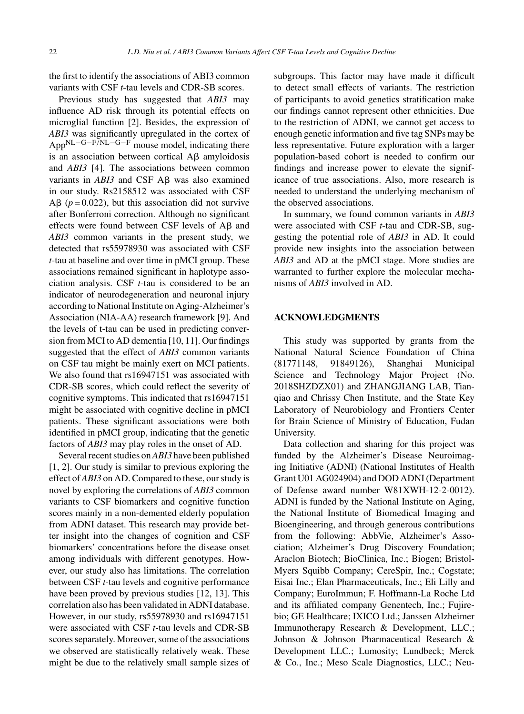the first to identify the associations of ABI3 common variants with CSF *t*-tau levels and CDR-SB scores.

Previous study has suggested that *ABI3* may influence AD risk through its potential effects on microglial function [2]. Besides, the expression of *ABI3* was significantly upregulated in the cortex of AppNL−G−F/NL−G−<sup>F</sup> mouse model, indicating there is an association between cortical  $\overrightarrow{AB}$  amyloidosis and *ABI3* [4]. The associations between common variants in  $ABI3$  and CSF  $A\beta$  was also examined in our study. Rs2158512 was associated with CSF  $\text{A}\beta$  ( $p = 0.022$ ), but this association did not survive after Bonferroni correction. Although no significant effects were found between CSF levels of  $A\beta$  and *ABI3* common variants in the present study, we detected that rs55978930 was associated with CSF *t*-tau at baseline and over time in pMCI group. These associations remained significant in haplotype association analysis. CSF *t*-tau is considered to be an indicator of neurodegeneration and neuronal injury according to National Institute on Aging-Alzheimer's Association (NIA-AA) research framework [9]. And the levels of t-tau can be used in predicting conversion from MCI to AD dementia [10, 11]. Our findings suggested that the effect of *ABI3* common variants on CSF tau might be mainly exert on MCI patients. We also found that rs16947151 was associated with CDR-SB scores, which could reflect the severity of cognitive symptoms. This indicated that rs16947151 might be associated with cognitive decline in pMCI patients. These significant associations were both identified in pMCI group, indicating that the genetic factors of *ABI3* may play roles in the onset of AD.

Several recent studies on*ABI3* have been published [1, 2]. Our study is similar to previous exploring the effect of *ABI3* on AD. Compared to these, our study is novel by exploring the correlations of *ABI3* common variants to CSF biomarkers and cognitive function scores mainly in a non-demented elderly population from ADNI dataset. This research may provide better insight into the changes of cognition and CSF biomarkers' concentrations before the disease onset among individuals with different genotypes. However, our study also has limitations. The correlation between CSF *t*-tau levels and cognitive performance have been proved by previous studies [12, 13]. This correlation also has been validated in ADNI database. However, in our study, rs55978930 and rs16947151 were associated with CSF *t*-tau levels and CDR-SB scores separately. Moreover, some of the associations we observed are statistically relatively weak. These might be due to the relatively small sample sizes of subgroups. This factor may have made it difficult to detect small effects of variants. The restriction of participants to avoid genetics stratification make our findings cannot represent other ethnicities. Due to the restriction of ADNI, we cannot get access to enough genetic information and five tag SNPs may be less representative. Future exploration with a larger population-based cohort is needed to confirm our findings and increase power to elevate the significance of true associations. Also, more research is needed to understand the underlying mechanism of the observed associations.

In summary, we found common variants in *ABI3* were associated with CSF *t*-tau and CDR-SB, suggesting the potential role of *ABI3* in AD. It could provide new insights into the association between *ABI3* and AD at the pMCI stage. More studies are warranted to further explore the molecular mechanisms of *ABI3* involved in AD.

#### **ACKNOWLEDGMENTS**

This study was supported by grants from the National Natural Science Foundation of China (81771148, 91849126), Shanghai Municipal Science and Technology Major Project (No. 2018SHZDZX01) and ZHANGJIANG LAB, Tianqiao and Chrissy Chen Institute, and the State Key Laboratory of Neurobiology and Frontiers Center for Brain Science of Ministry of Education, Fudan University.

Data collection and sharing for this project was funded by the Alzheimer's Disease Neuroimaging Initiative (ADNI) (National Institutes of Health Grant U01 AG024904) and DOD ADNI (Department of Defense award number W81XWH-12-2-0012). ADNI is funded by the National Institute on Aging, the National Institute of Biomedical Imaging and Bioengineering, and through generous contributions from the following: AbbVie, Alzheimer's Association; Alzheimer's Drug Discovery Foundation; Araclon Biotech; BioClinica, Inc.; Biogen; Bristol-Myers Squibb Company; CereSpir, Inc.; Cogstate; Eisai Inc.; Elan Pharmaceuticals, Inc.; Eli Lilly and Company; EuroImmun; F. Hoffmann-La Roche Ltd and its affiliated company Genentech, Inc.; Fujirebio; GE Healthcare; IXICO Ltd.; Janssen Alzheimer Immunotherapy Research & Development, LLC.; Johnson & Johnson Pharmaceutical Research & Development LLC.; Lumosity; Lundbeck; Merck & Co., Inc.; Meso Scale Diagnostics, LLC.; Neu